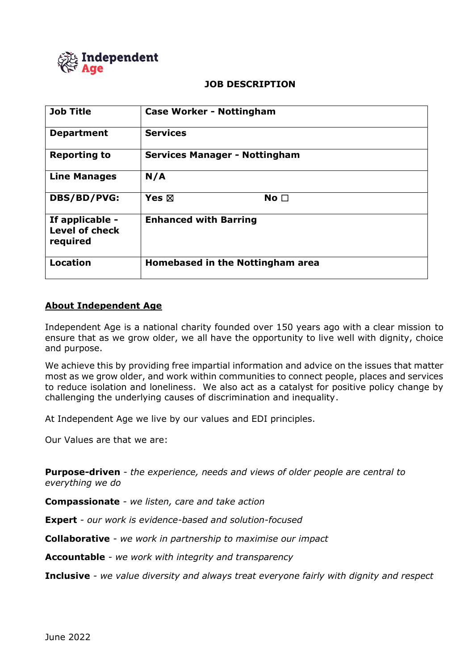

### **JOB DESCRIPTION**

| <b>Job Title</b>                                     | <b>Case Worker - Nottingham</b>      |
|------------------------------------------------------|--------------------------------------|
| <b>Department</b>                                    | <b>Services</b>                      |
| <b>Reporting to</b>                                  | <b>Services Manager - Nottingham</b> |
| <b>Line Manages</b>                                  | N/A                                  |
| DBS/BD/PVG:                                          | Yes $\boxtimes$<br>No <sub>1</sub>   |
| If applicable -<br><b>Level of check</b><br>required | <b>Enhanced with Barring</b>         |
| <b>Location</b>                                      | Homebased in the Nottingham area     |

## **About Independent Age**

Independent Age is a national charity founded over 150 years ago with a clear mission to ensure that as we grow older, we all have the opportunity to live well with dignity, choice and purpose.

We achieve this by providing free impartial information and advice on the issues that matter most as we grow older, and work within communities to connect people, places and services to reduce isolation and loneliness. We also act as a catalyst for positive policy change by challenging the underlying causes of discrimination and inequality.

At Independent Age we live by our values and EDI principles.

Our Values are that we are:

**Purpose-driven** *- the experience, needs and views of older people are central to everything we do*

**Compassionate** *- we listen, care and take action*

**Expert** *- our work is evidence-based and solution-focused*

**Collaborative** *- we work in partnership to maximise our impact*

**Accountable** *- we work with integrity and transparency*

**Inclusive** *- we value diversity and always treat everyone fairly with dignity and respect*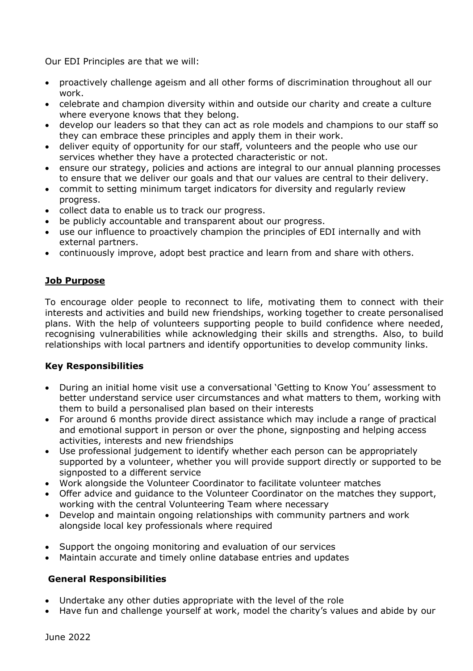Our EDI Principles are that we will:

- proactively challenge ageism and all other forms of discrimination throughout all our work.
- celebrate and champion diversity within and outside our charity and create a culture where everyone knows that they belong.
- develop our leaders so that they can act as role models and champions to our staff so they can embrace these principles and apply them in their work.
- deliver equity of opportunity for our staff, volunteers and the people who use our services whether they have a protected characteristic or not.
- ensure our strategy, policies and actions are integral to our annual planning processes to ensure that we deliver our goals and that our values are central to their delivery.
- commit to setting minimum target indicators for diversity and regularly review progress.
- collect data to enable us to track our progress.
- be publicly accountable and transparent about our progress.
- use our influence to proactively champion the principles of EDI internally and with external partners.
- continuously improve, adopt best practice and learn from and share with others.

# **Job Purpose**

To encourage older people to reconnect to life, motivating them to connect with their interests and activities and build new friendships, working together to create personalised plans. With the help of volunteers supporting people to build confidence where needed, recognising vulnerabilities while acknowledging their skills and strengths. Also, to build relationships with local partners and identify opportunities to develop community links.

# **Key Responsibilities**

- During an initial home visit use a conversational 'Getting to Know You' assessment to better understand service user circumstances and what matters to them, working with them to build a personalised plan based on their interests
- For around 6 months provide direct assistance which may include a range of practical and emotional support in person or over the phone, signposting and helping access activities, interests and new friendships
- Use professional judgement to identify whether each person can be appropriately supported by a volunteer, whether you will provide support directly or supported to be signposted to a different service
- Work alongside the Volunteer Coordinator to facilitate volunteer matches
- Offer advice and guidance to the Volunteer Coordinator on the matches they support, working with the central Volunteering Team where necessary
- Develop and maintain ongoing relationships with community partners and work alongside local key professionals where required
- Support the ongoing monitoring and evaluation of our services
- Maintain accurate and timely online database entries and updates

## **General Responsibilities**

- Undertake any other duties appropriate with the level of the role
- Have fun and challenge yourself at work, model the charity's values and abide by our

June 2022